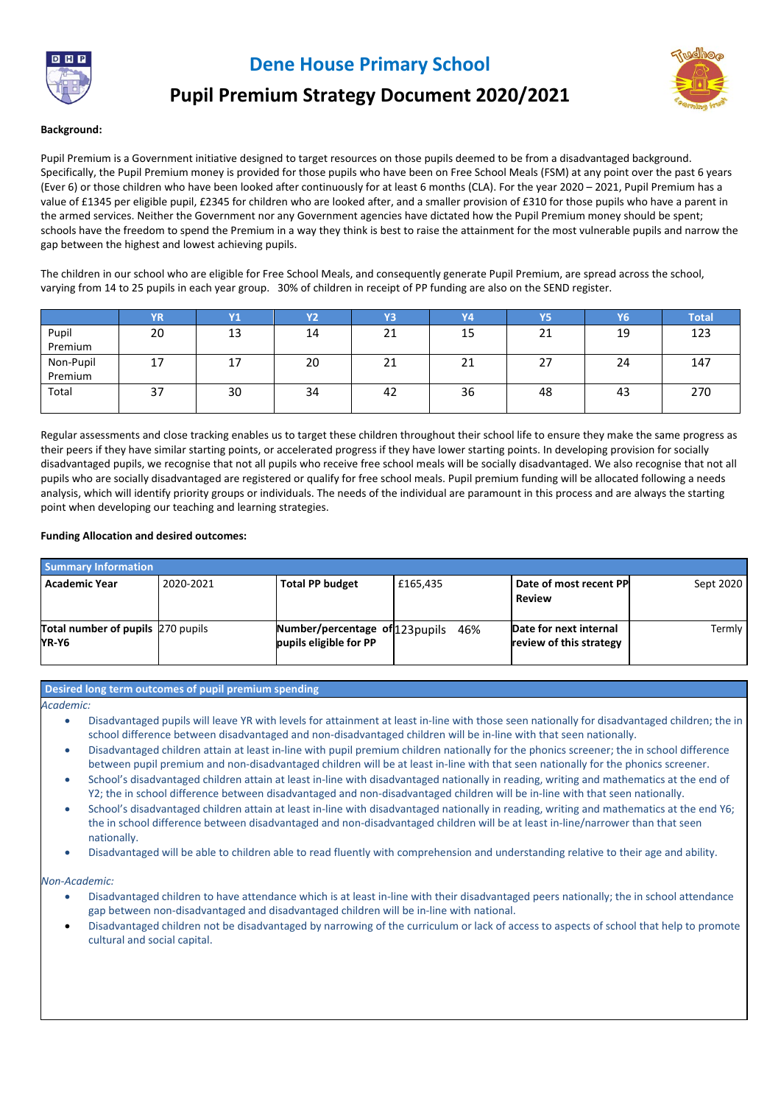

**Dene House Primary School**



# **Pupil Premium Strategy Document 2020/2021**

#### **Background:**

Pupil Premium is a Government initiative designed to target resources on those pupils deemed to be from a disadvantaged background. Specifically, the Pupil Premium money is provided for those pupils who have been on Free School Meals (FSM) at any point over the past 6 years (Ever 6) or those children who have been looked after continuously for at least 6 months (CLA). For the year 2020 – 2021, Pupil Premium has a value of £1345 per eligible pupil, £2345 for children who are looked after, and a smaller provision of £310 for those pupils who have a parent in the armed services. Neither the Government nor any Government agencies have dictated how the Pupil Premium money should be spent; schools have the freedom to spend the Premium in a way they think is best to raise the attainment for the most vulnerable pupils and narrow the gap between the highest and lowest achieving pupils.

The children in our school who are eligible for Free School Meals, and consequently generate Pupil Premium, are spread across the school, varying from 14 to 25 pupils in each year group. 30% of children in receipt of PP funding are also on the SEND register.

|           | <b>YR</b> | <b>Y1</b> | <b>Y2</b> | Y3 | V4 | Y5 | Y6' | <b>Total</b> |
|-----------|-----------|-----------|-----------|----|----|----|-----|--------------|
| Pupil     | 20        | 13        | 14        | 21 | 15 | 21 | 19  | 123          |
| Premium   |           |           |           |    |    |    |     |              |
| Non-Pupil | 17        | 1/        | 20        | 21 | 21 | 27 | 24  | 147          |
| Premium   |           |           |           |    |    |    |     |              |
| Total     | 37        | 30        | 34        | 42 | 36 | 48 | 43  | 270          |
|           |           |           |           |    |    |    |     |              |

Regular assessments and close tracking enables us to target these children throughout their school life to ensure they make the same progress as their peers if they have similar starting points, or accelerated progress if they have lower starting points. In developing provision for socially disadvantaged pupils, we recognise that not all pupils who receive free school meals will be socially disadvantaged. We also recognise that not all pupils who are socially disadvantaged are registered or qualify for free school meals. Pupil premium funding will be allocated following a needs analysis, which will identify priority groups or individuals. The needs of the individual are paramount in this process and are always the starting point when developing our teaching and learning strategies.

#### **Funding Allocation and desired outcomes:**

| <b>Summary Information</b>                        |           |                                                           |          |                                                   |           |
|---------------------------------------------------|-----------|-----------------------------------------------------------|----------|---------------------------------------------------|-----------|
| <b>Academic Year</b>                              | 2020-2021 | <b>Total PP budget</b>                                    | £165,435 | Date of most recent PP<br><b>Review</b>           | Sept 2020 |
| <b>Total number of pupils</b> 270 pupils<br>YR-Y6 |           | Number/percentage of 123 pupils<br>pupils eligible for PP | 46%      | Date for next internal<br>review of this strategy | Termly    |

#### **Desired long term outcomes of pupil premium spending**

*Academic:*

- Disadvantaged pupils will leave YR with levels for attainment at least in-line with those seen nationally for disadvantaged children; the in school difference between disadvantaged and non-disadvantaged children will be in-line with that seen nationally.
- Disadvantaged children attain at least in-line with pupil premium children nationally for the phonics screener; the in school difference between pupil premium and non-disadvantaged children will be at least in-line with that seen nationally for the phonics screener.
- School's disadvantaged children attain at least in-line with disadvantaged nationally in reading, writing and mathematics at the end of Y2; the in school difference between disadvantaged and non-disadvantaged children will be in-line with that seen nationally.
- School's disadvantaged children attain at least in-line with disadvantaged nationally in reading, writing and mathematics at the end Y6; the in school difference between disadvantaged and non-disadvantaged children will be at least in-line/narrower than that seen nationally.
- Disadvantaged will be able to children able to read fluently with comprehension and understanding relative to their age and ability.

*Non-Academic:*

- Disadvantaged children to have attendance which is at least in-line with their disadvantaged peers nationally; the in school attendance gap between non-disadvantaged and disadvantaged children will be in-line with national.
- Disadvantaged children not be disadvantaged by narrowing of the curriculum or lack of access to aspects of school that help to promote cultural and social capital.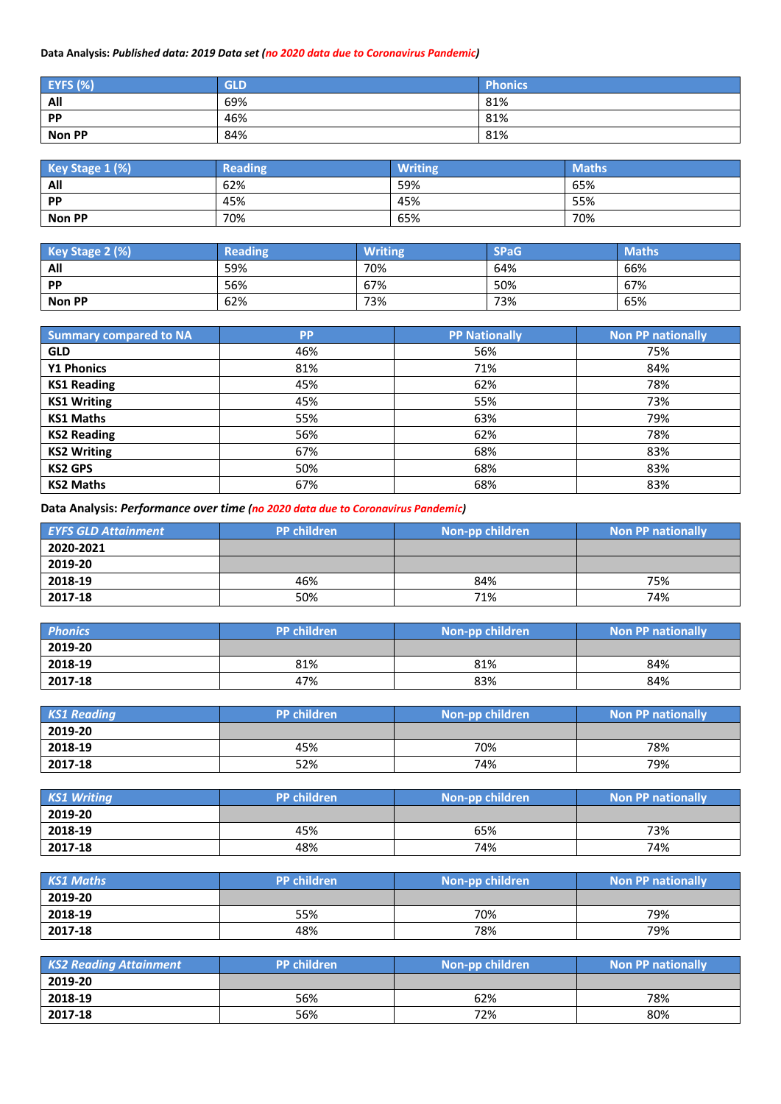# **Data Analysis:** *Published data: 2019 Data set (no 2020 data due to Coronavirus Pandemic)*

| <b>EYFS (%)</b> | <b>GLD</b> | Phonics |
|-----------------|------------|---------|
| All             | 69%        | 81%     |
| <b>PP</b>       | 46%        | 81%     |
| <b>Non PP</b>   | 84%        | 81%     |

| Key Stage 1 (%) | <b>Reading</b> | <b>Writing</b> | <b>Maths</b> |
|-----------------|----------------|----------------|--------------|
| All             | 62%            | 59%            | 65%          |
| PP              | 45%            | 45%            | 55%          |
| Non PP          | 70%            | 65%            | 70%          |

| Key Stage 2 (%) | <b>Reading</b> | <b>Writing</b> | <b>SPaG</b> | <b>Maths</b> |
|-----------------|----------------|----------------|-------------|--------------|
| All             | 59%            | 70%            | 64%         | 66%          |
| <b>PP</b>       | 56%            | 67%            | 50%         | 67%          |
| Non PP          | 62%            | 73%            | 73%         | 65%          |

| <b>Summary compared to NA</b> | <b>PP</b> | <b>PP Nationally</b> | <b>Non PP nationally</b> |
|-------------------------------|-----------|----------------------|--------------------------|
| <b>GLD</b>                    | 46%       | 56%                  | 75%                      |
| <b>Y1 Phonics</b>             | 81%       | 71%                  | 84%                      |
| <b>KS1 Reading</b>            | 45%       | 62%                  | 78%                      |
| <b>KS1 Writing</b>            | 45%       | 55%                  | 73%                      |
| <b>KS1 Maths</b>              | 55%       | 63%                  | 79%                      |
| <b>KS2 Reading</b>            | 56%       | 62%                  | 78%                      |
| <b>KS2 Writing</b>            | 67%       | 68%                  | 83%                      |
| <b>KS2 GPS</b>                | 50%       | 68%                  | 83%                      |
| <b>KS2 Maths</b>              | 67%       | 68%                  | 83%                      |

**Data Analysis:** *Performance over time (no 2020 data due to Coronavirus Pandemic)*

| <b>EYFS GLD Attainment</b> | <b>PP children</b> | Non-pp children | <b>Non PP nationally</b> |
|----------------------------|--------------------|-----------------|--------------------------|
| 2020-2021                  |                    |                 |                          |
| 2019-20                    |                    |                 |                          |
| 2018-19                    | 46%                | 84%             | 75%                      |
| 2017-18                    | 50%                | 71%             | 74%                      |

| <b>Phonics</b> | PP children | Non-pp children | <b>Non PP nationally</b> |
|----------------|-------------|-----------------|--------------------------|
| 2019-20        |             |                 |                          |
| 2018-19        | 81%         | 81%             | 84%                      |
| 2017-18        | 47%         | 83%             | 84%                      |

| <b>KS1 Reading</b> | <b>PP</b> children | Non-pp children | <b>Non PP nationally</b> |
|--------------------|--------------------|-----------------|--------------------------|
| 2019-20            |                    |                 |                          |
| 2018-19            | 45%                | 70%             | 78%                      |
| 2017-18            | 52%                | 74%             | 79%                      |

| <b>KS1 Writing</b> | <b>PP</b> children | Non-pp children | Non PP nationally |
|--------------------|--------------------|-----------------|-------------------|
| 2019-20            |                    |                 |                   |
| 2018-19            | 45%                | 65%             | 73%               |
| 2017-18            | 48%                | 74%             | 74%               |

| <b>KS1 Maths</b> | PP children | Non-pp children | <b>Non PP nationally</b> |
|------------------|-------------|-----------------|--------------------------|
| 2019-20          |             |                 |                          |
| 2018-19          | 55%         | 70%             | 79%                      |
| 2017-18          | 48%         | 78%             | 79%                      |

| <b>KS2 Reading Attainment</b> | <b>PP</b> children | Non-pp children | <b>Non PP nationally</b> |
|-------------------------------|--------------------|-----------------|--------------------------|
| 2019-20                       |                    |                 |                          |
| 2018-19                       | 56%                | 62%             | 78%                      |
| 2017-18                       | 56%                | 72%             | 80%                      |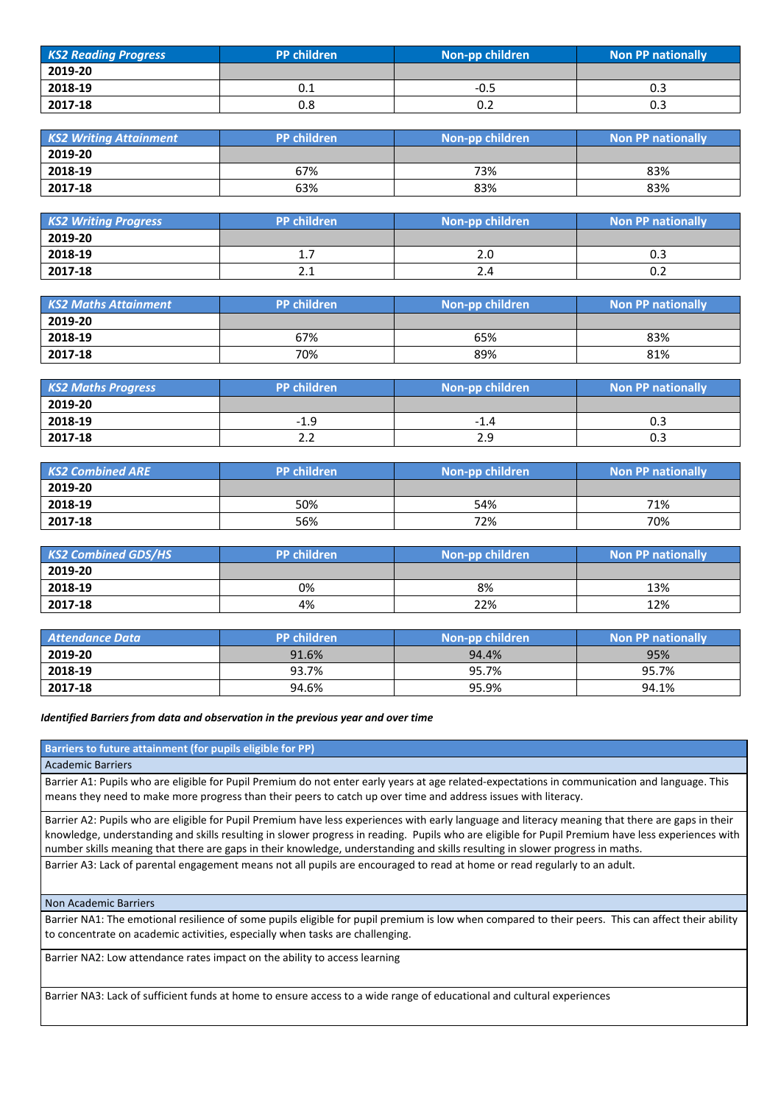| <b>KS2 Reading Progress</b> | <b>PP</b> children | Non-pp children | <b>Non PP nationally</b> |
|-----------------------------|--------------------|-----------------|--------------------------|
| 2019-20                     |                    |                 |                          |
| 2018-19                     | 0.1                | -0.5            | 0.3                      |
| 2017-18                     | 0.8                | U.Z             | 0.3                      |

| <b>KS2 Writing Attainment</b> | <b>PP children</b><br>Non-pp children |     | <b>Non PP nationally</b> |  |
|-------------------------------|---------------------------------------|-----|--------------------------|--|
| 2019-20                       |                                       |     |                          |  |
| 2018-19                       | 67%                                   | 73% | 83%                      |  |
| 2017-18                       | 63%                                   | 83% | 83%                      |  |

| <b>KS2 Writing Progress</b> | PP children                          | Non-pp children | <b>Non PP nationally</b> |
|-----------------------------|--------------------------------------|-----------------|--------------------------|
| 2019-20                     |                                      |                 |                          |
| 2018-19                     | 1.7                                  | Z.U             | U.J                      |
| 2017-18                     | າ 1<br>$\mathbf{z} \cdot \mathbf{r}$ | 2.4             | 0.2                      |

| <b>KS2 Maths Attainment</b> | <b>PP children</b> | Non-pp children | <b>Non PP nationally</b> |
|-----------------------------|--------------------|-----------------|--------------------------|
| 2019-20                     |                    |                 |                          |
| 2018-19                     | 67%                | 65%             | 83%                      |
| 2017-18                     | 70%                | 89%             | 81%                      |

| <b>KS2 Maths Progress</b> | PP children | Non-pp children | <b>Non PP nationally</b> |
|---------------------------|-------------|-----------------|--------------------------|
| 2019-20                   |             |                 |                          |
| 2018-19                   | $-1.9$      | -1.4            | U.J                      |
| 2017-18                   | 2.2         | 2.9             | 0.3                      |

| <b>KS2 Combined ARE</b> | <b>PP</b> children | Non-pp children | <b>Non PP nationally</b> |
|-------------------------|--------------------|-----------------|--------------------------|
| 2019-20                 |                    |                 |                          |
| 2018-19                 | 50%                | 54%             | 71%                      |
| 2017-18                 | 56%                | 72%             | 70%                      |

| <b>KS2 Combined GDS/HS</b> | <b>PP children</b> | Non-pp children | <b>Non PP nationally</b> |
|----------------------------|--------------------|-----------------|--------------------------|
| 2019-20                    |                    |                 |                          |
| 2018-19                    | 0%                 | 8%              | 13%                      |
| 2017-18                    | 4%                 | 22%             | 12%                      |

| <b>Attendance Data</b> | <b>PP</b> children | Non-pp children | <b>Non PP nationally</b> |
|------------------------|--------------------|-----------------|--------------------------|
| 2019-20                | 91.6%              | 94.4%           | 95%                      |
| 2018-19                | 93.7%              | 95.7%           | 95.7%                    |
| 2017-18                | 94.6%              | 95.9%           | 94.1%                    |

#### *Identified Barriers from data and observation in the previous year and over time*

**Barriers to future attainment (for pupils eligible for PP)**

Academic Barriers

Barrier A1: Pupils who are eligible for Pupil Premium do not enter early years at age related-expectations in communication and language. This means they need to make more progress than their peers to catch up over time and address issues with literacy.

Barrier A2: Pupils who are eligible for Pupil Premium have less experiences with early language and literacy meaning that there are gaps in their knowledge, understanding and skills resulting in slower progress in reading. Pupils who are eligible for Pupil Premium have less experiences with number skills meaning that there are gaps in their knowledge, understanding and skills resulting in slower progress in maths.

Barrier A3: Lack of parental engagement means not all pupils are encouraged to read at home or read regularly to an adult.

Non Academic Barriers

Barrier NA1: The emotional resilience of some pupils eligible for pupil premium is low when compared to their peers. This can affect their ability to concentrate on academic activities, especially when tasks are challenging.

Barrier NA2: Low attendance rates impact on the ability to access learning

Barrier NA3: Lack of sufficient funds at home to ensure access to a wide range of educational and cultural experiences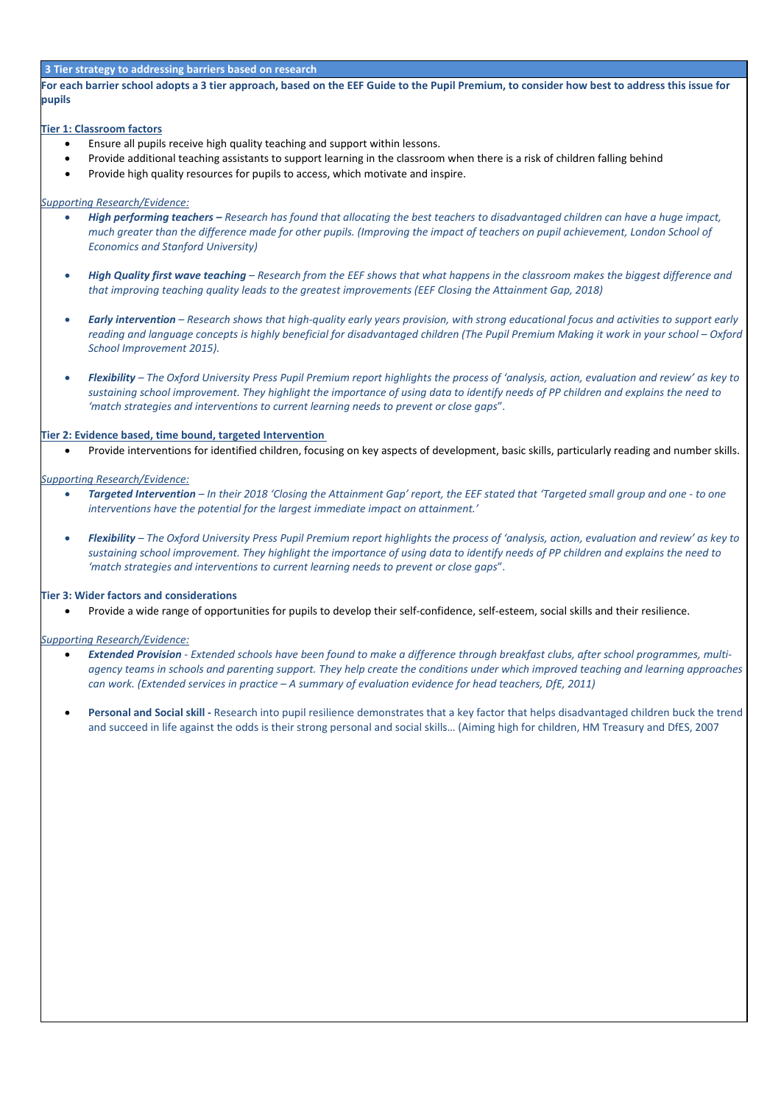#### **3 Tier strategy to addressing barriers based on research**

**For each barrier school adopts a 3 tier approach, based on the EEF Guide to the Pupil Premium, to consider how best to address this issue for pupils**

#### **Tier 1: Classroom factors**

- Ensure all pupils receive high quality teaching and support within lessons.
- Provide additional teaching assistants to support learning in the classroom when there is a risk of children falling behind
- Provide high quality resources for pupils to access, which motivate and inspire.

#### *Supporting Research/Evidence:*

- *High performing teachers – Research has found that allocating the best teachers to disadvantaged children can have a huge impact, much greater than the difference made for other pupils. (Improving the impact of teachers on pupil achievement, London School of Economics and Stanford University)*
- *High Quality first wave teaching – Research from the EEF shows that what happens in the classroom makes the biggest difference and that improving teaching quality leads to the greatest improvements (EEF Closing the Attainment Gap, 2018)*
- *Early intervention – Research shows that high-quality early years provision, with strong educational focus and activities to support early reading and language concepts is highly beneficial for disadvantaged children (The Pupil Premium Making it work in your school – Oxford School Improvement 2015).*
- *Flexibility – The Oxford University Press Pupil Premium report highlights the process of 'analysis, action, evaluation and review' as key to sustaining school improvement. They highlight the importance of using data to identify needs of PP children and explains the need to 'match strategies and interventions to current learning needs to prevent or close gaps*".

#### **Tier 2: Evidence based, time bound, targeted Intervention**

• Provide interventions for identified children, focusing on key aspects of development, basic skills, particularly reading and number skills.

#### *Supporting Research/Evidence:*

- *Targeted Intervention – In their 2018 'Closing the Attainment Gap' report, the EEF stated that 'Targeted small group and one - to one interventions have the potential for the largest immediate impact on attainment.'*
- *Flexibility – The Oxford University Press Pupil Premium report highlights the process of 'analysis, action, evaluation and review' as key to sustaining school improvement. They highlight the importance of using data to identify needs of PP children and explains the need to 'match strategies and interventions to current learning needs to prevent or close gaps*".

#### **Tier 3: Wider factors and considerations**

• Provide a wide range of opportunities for pupils to develop their self-confidence, self-esteem, social skills and their resilience.

#### *Supporting Research/Evidence:*

- *Extended Provision - Extended schools have been found to make a difference through breakfast clubs, after school programmes, multiagency teams in schools and parenting support. They help create the conditions under which improved teaching and learning approaches can work. (Extended services in practice – A summary of evaluation evidence for head teachers, DfE, 2011)*
- **Personal and Social skill -** Research into pupil resilience demonstrates that a key factor that helps disadvantaged children buck the trend and succeed in life against the odds is their strong personal and social skills… (Aiming high for children, HM Treasury and DfES, 2007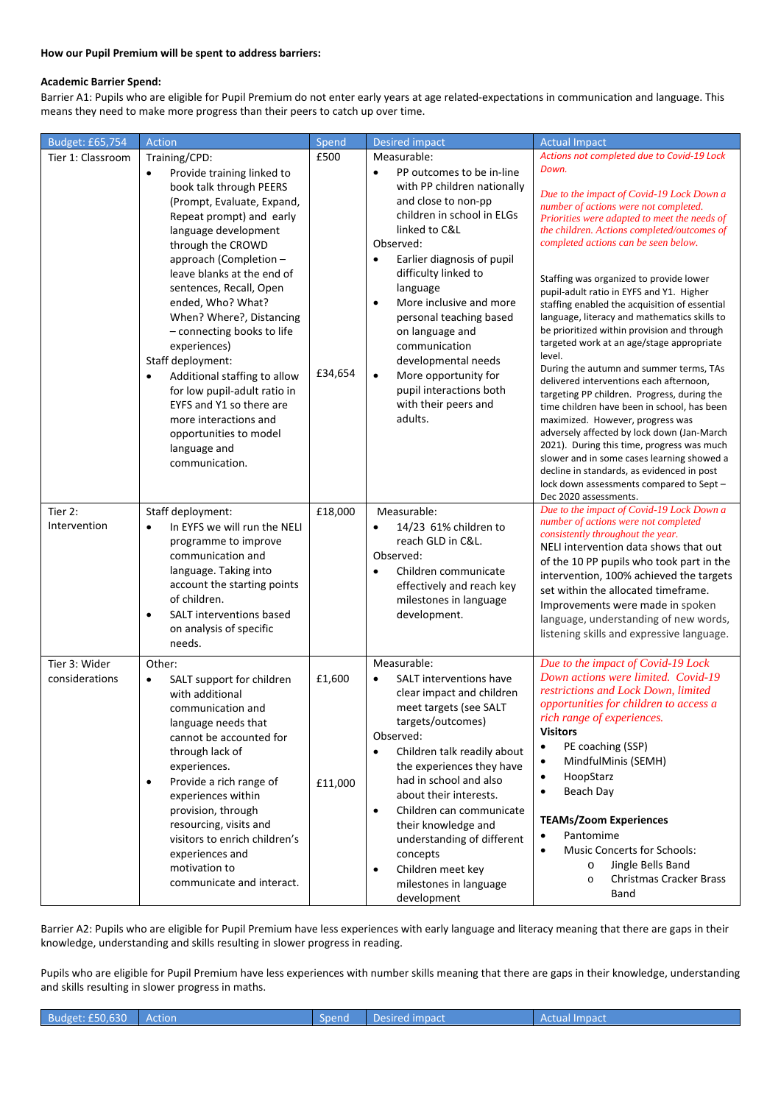### **How our Pupil Premium will be spent to address barriers:**

#### **Academic Barrier Spend:**

Barrier A1: Pupils who are eligible for Pupil Premium do not enter early years at age related-expectations in communication and language. This means they need to make more progress than their peers to catch up over time.

| Budget: £65,754                 | Action                                                                                                                                                                                                                                                                                                                                                                                                                                                                                                                                                                             | Spend             | <b>Desired impact</b>                                                                                                                                                                                                                                                                                                                                                                                                                                          | <b>Actual Impact</b>                                                                                                                                                                                                                                                                                                                                                                                                                                                                                                                                                                                                                                                                                                                                                                                                                                                                                                                                                                                                                                               |
|---------------------------------|------------------------------------------------------------------------------------------------------------------------------------------------------------------------------------------------------------------------------------------------------------------------------------------------------------------------------------------------------------------------------------------------------------------------------------------------------------------------------------------------------------------------------------------------------------------------------------|-------------------|----------------------------------------------------------------------------------------------------------------------------------------------------------------------------------------------------------------------------------------------------------------------------------------------------------------------------------------------------------------------------------------------------------------------------------------------------------------|--------------------------------------------------------------------------------------------------------------------------------------------------------------------------------------------------------------------------------------------------------------------------------------------------------------------------------------------------------------------------------------------------------------------------------------------------------------------------------------------------------------------------------------------------------------------------------------------------------------------------------------------------------------------------------------------------------------------------------------------------------------------------------------------------------------------------------------------------------------------------------------------------------------------------------------------------------------------------------------------------------------------------------------------------------------------|
| Tier 1: Classroom               | Training/CPD:<br>Provide training linked to<br>$\bullet$<br>book talk through PEERS<br>(Prompt, Evaluate, Expand,<br>Repeat prompt) and early<br>language development<br>through the CROWD<br>approach (Completion -<br>leave blanks at the end of<br>sentences, Recall, Open<br>ended, Who? What?<br>When? Where?, Distancing<br>- connecting books to life<br>experiences)<br>Staff deployment:<br>Additional staffing to allow<br>for low pupil-adult ratio in<br>EYFS and Y1 so there are<br>more interactions and<br>opportunities to model<br>language and<br>communication. | £500<br>£34,654   | Measurable:<br>PP outcomes to be in-line<br>with PP children nationally<br>and close to non-pp<br>children in school in ELGs<br>linked to C&L<br>Observed:<br>Earlier diagnosis of pupil<br>difficulty linked to<br>language<br>More inclusive and more<br>$\bullet$<br>personal teaching based<br>on language and<br>communication<br>developmental needs<br>More opportunity for<br>$\bullet$<br>pupil interactions both<br>with their peers and<br>adults.  | Actions not completed due to Covid-19 Lock<br>Down.<br>Due to the impact of Covid-19 Lock Down a<br>number of actions were not completed.<br>Priorities were adapted to meet the needs of<br>the children. Actions completed/outcomes of<br>completed actions can be seen below.<br>Staffing was organized to provide lower<br>pupil-adult ratio in EYFS and Y1. Higher<br>staffing enabled the acquisition of essential<br>language, literacy and mathematics skills to<br>be prioritized within provision and through<br>targeted work at an age/stage appropriate<br>level.<br>During the autumn and summer terms, TAs<br>delivered interventions each afternoon,<br>targeting PP children. Progress, during the<br>time children have been in school, has been<br>maximized. However, progress was<br>adversely affected by lock down (Jan-March<br>2021). During this time, progress was much<br>slower and in some cases learning showed a<br>decline in standards, as evidenced in post<br>lock down assessments compared to Sept-<br>Dec 2020 assessments. |
| Tier 2:<br>Intervention         | Staff deployment:<br>In EYFS we will run the NELI<br>$\bullet$<br>programme to improve<br>communication and<br>language. Taking into<br>account the starting points<br>of children.<br>SALT interventions based<br>$\bullet$<br>on analysis of specific<br>needs.                                                                                                                                                                                                                                                                                                                  | £18,000           | Measurable:<br>14/23 61% children to<br>$\bullet$<br>reach GLD in C&L.<br>Observed:<br>Children communicate<br>effectively and reach key<br>milestones in language<br>development.                                                                                                                                                                                                                                                                             | Due to the impact of Covid-19 Lock Down a<br>number of actions were not completed<br>consistently throughout the year.<br>NELI intervention data shows that out<br>of the 10 PP pupils who took part in the<br>intervention, 100% achieved the targets<br>set within the allocated timeframe.<br>Improvements were made in spoken<br>language, understanding of new words,<br>listening skills and expressive language.                                                                                                                                                                                                                                                                                                                                                                                                                                                                                                                                                                                                                                            |
| Tier 3: Wider<br>considerations | Other:<br>SALT support for children<br>$\bullet$<br>with additional<br>communication and<br>language needs that<br>cannot be accounted for<br>through lack of<br>experiences.<br>Provide a rich range of<br>$\bullet$<br>experiences within<br>provision, through<br>resourcing, visits and<br>visitors to enrich children's<br>experiences and<br>motivation to<br>communicate and interact.                                                                                                                                                                                      | £1,600<br>£11,000 | Measurable:<br>SALT interventions have<br>$\bullet$<br>clear impact and children<br>meet targets (see SALT<br>targets/outcomes)<br>Observed:<br>Children talk readily about<br>$\bullet$<br>the experiences they have<br>had in school and also<br>about their interests.<br>Children can communicate<br>$\bullet$<br>their knowledge and<br>understanding of different<br>concepts<br>Children meet key<br>$\bullet$<br>milestones in language<br>development | Due to the impact of Covid-19 Lock<br>Down actions were limited. Covid-19<br>restrictions and Lock Down, limited<br>opportunities for children to access a<br>rich range of experiences.<br>Visitors<br>PE coaching (SSP)<br>$\bullet$<br>MindfulMinis (SEMH)<br>$\bullet$<br>HoopStarz<br>$\bullet$<br>Beach Day<br>$\bullet$<br><b>TEAMs/Zoom Experiences</b><br>Pantomime<br>$\bullet$<br><b>Music Concerts for Schools:</b><br>$\bullet$<br>Jingle Bells Band<br>$\circ$<br><b>Christmas Cracker Brass</b><br>$\circ$<br>Band                                                                                                                                                                                                                                                                                                                                                                                                                                                                                                                                  |

Barrier A2: Pupils who are eligible for Pupil Premium have less experiences with early language and literacy meaning that there are gaps in their knowledge, understanding and skills resulting in slower progress in reading.

Pupils who are eligible for Pupil Premium have less experiences with number skills meaning that there are gaps in their knowledge, understanding and skills resulting in slower progress in maths.

Budget: £50,630 Action Spend Desired impact Actual Impact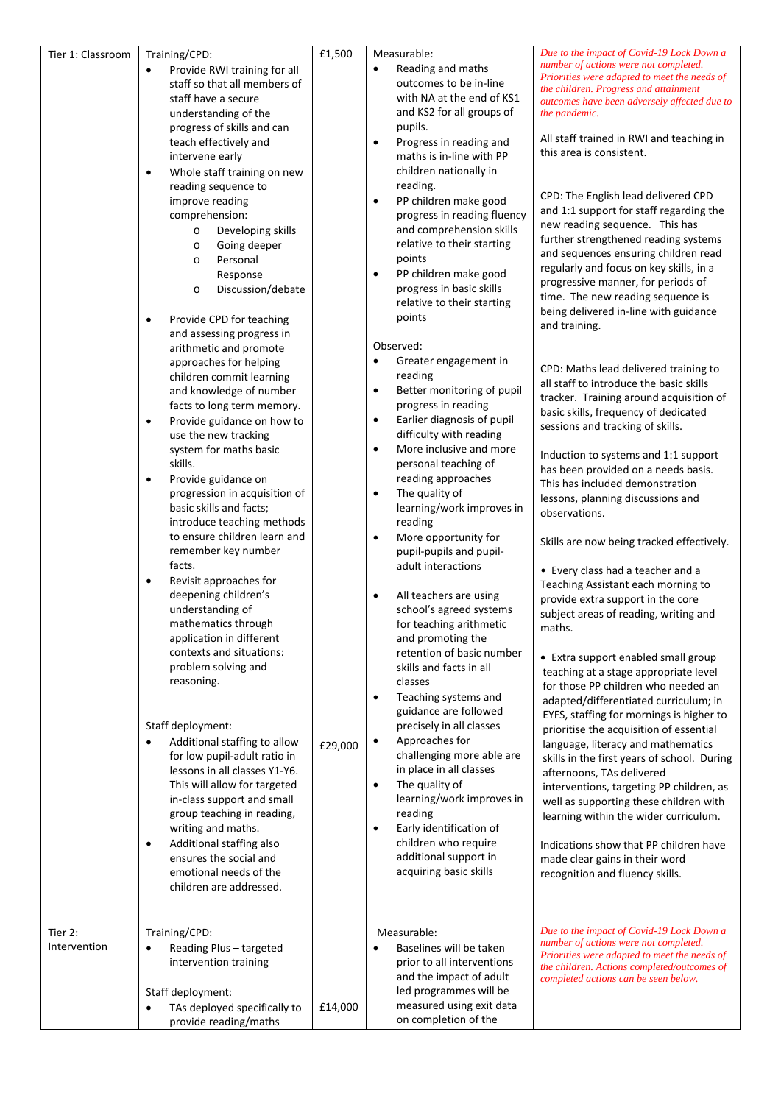| Tier 1: Classroom | Training/CPD:                                       | £1,500  | Measurable:                                                       | Due to the impact of Covid-19 Lock Down a                                                   |
|-------------------|-----------------------------------------------------|---------|-------------------------------------------------------------------|---------------------------------------------------------------------------------------------|
|                   | Provide RWI training for all                        |         | Reading and maths<br>$\bullet$                                    | number of actions were not completed.<br>Priorities were adapted to meet the needs of       |
|                   | staff so that all members of                        |         | outcomes to be in-line                                            | the children. Progress and attainment                                                       |
|                   | staff have a secure                                 |         | with NA at the end of KS1                                         | outcomes have been adversely affected due to                                                |
|                   | understanding of the                                |         | and KS2 for all groups of                                         | the pandemic.                                                                               |
|                   | progress of skills and can                          |         | pupils.                                                           | All staff trained in RWI and teaching in                                                    |
|                   | teach effectively and                               |         | Progress in reading and<br>$\bullet$                              | this area is consistent.                                                                    |
|                   | intervene early                                     |         | maths is in-line with PP                                          |                                                                                             |
|                   | Whole staff training on new<br>٠                    |         | children nationally in                                            |                                                                                             |
|                   | reading sequence to                                 |         | reading.                                                          | CPD: The English lead delivered CPD                                                         |
|                   | improve reading                                     |         | PP children make good<br>$\bullet$<br>progress in reading fluency | and 1:1 support for staff regarding the                                                     |
|                   | comprehension:<br>Developing skills<br>$\circ$      |         | and comprehension skills                                          | new reading sequence. This has                                                              |
|                   | Going deeper<br>$\circ$                             |         | relative to their starting                                        | further strengthened reading systems                                                        |
|                   | Personal<br>$\circ$                                 |         | points                                                            | and sequences ensuring children read                                                        |
|                   | Response                                            |         | PP children make good<br>$\bullet$                                | regularly and focus on key skills, in a                                                     |
|                   | Discussion/debate<br>$\circ$                        |         | progress in basic skills                                          | progressive manner, for periods of                                                          |
|                   |                                                     |         | relative to their starting                                        | time. The new reading sequence is                                                           |
|                   | Provide CPD for teaching<br>٠                       |         | points                                                            | being delivered in-line with guidance                                                       |
|                   | and assessing progress in                           |         |                                                                   | and training.                                                                               |
|                   | arithmetic and promote                              |         | Observed:                                                         |                                                                                             |
|                   | approaches for helping                              |         | Greater engagement in                                             |                                                                                             |
|                   | children commit learning                            |         | reading                                                           | CPD: Maths lead delivered training to<br>all staff to introduce the basic skills            |
|                   | and knowledge of number                             |         | Better monitoring of pupil<br>$\bullet$                           | tracker. Training around acquisition of                                                     |
|                   | facts to long term memory.                          |         | progress in reading                                               | basic skills, frequency of dedicated                                                        |
|                   | Provide guidance on how to<br>$\bullet$             |         | Earlier diagnosis of pupil<br>$\bullet$                           | sessions and tracking of skills.                                                            |
|                   | use the new tracking                                |         | difficulty with reading                                           |                                                                                             |
|                   | system for maths basic                              |         | More inclusive and more<br>$\bullet$                              | Induction to systems and 1:1 support                                                        |
|                   | skills.                                             |         | personal teaching of                                              | has been provided on a needs basis.                                                         |
|                   | Provide guidance on<br>$\bullet$                    |         | reading approaches                                                | This has included demonstration                                                             |
|                   | progression in acquisition of                       |         | The quality of<br>$\bullet$                                       | lessons, planning discussions and                                                           |
|                   | basic skills and facts;                             |         | learning/work improves in                                         | observations.                                                                               |
|                   | introduce teaching methods                          |         | reading                                                           |                                                                                             |
|                   | to ensure children learn and<br>remember key number |         | More opportunity for<br>$\bullet$<br>pupil-pupils and pupil-      | Skills are now being tracked effectively.                                                   |
|                   | facts.                                              |         | adult interactions                                                |                                                                                             |
|                   | Revisit approaches for<br>$\bullet$                 |         |                                                                   | • Every class had a teacher and a                                                           |
|                   | deepening children's                                |         | All teachers are using<br>$\bullet$                               | Teaching Assistant each morning to                                                          |
|                   | understanding of                                    |         | school's agreed systems                                           | provide extra support in the core                                                           |
|                   | mathematics through                                 |         | for teaching arithmetic                                           | subject areas of reading, writing and<br>maths.                                             |
|                   | application in different                            |         | and promoting the                                                 |                                                                                             |
|                   | contexts and situations:                            |         | retention of basic number                                         | • Extra support enabled small group                                                         |
|                   | problem solving and                                 |         | skills and facts in all                                           | teaching at a stage appropriate level                                                       |
|                   | reasoning.                                          |         | classes                                                           | for those PP children who needed an                                                         |
|                   |                                                     |         | Teaching systems and<br>$\bullet$                                 | adapted/differentiated curriculum; in                                                       |
|                   |                                                     |         | guidance are followed                                             | EYFS, staffing for mornings is higher to                                                    |
|                   | Staff deployment:                                   |         | precisely in all classes                                          | prioritise the acquisition of essential                                                     |
|                   | Additional staffing to allow<br>$\bullet$           | £29,000 | Approaches for<br>$\bullet$                                       | language, literacy and mathematics                                                          |
|                   | for low pupil-adult ratio in                        |         | challenging more able are                                         | skills in the first years of school. During                                                 |
|                   | lessons in all classes Y1-Y6.                       |         | in place in all classes                                           | afternoons, TAs delivered                                                                   |
|                   | This will allow for targeted                        |         | The quality of<br>$\bullet$                                       | interventions, targeting PP children, as                                                    |
|                   | in-class support and small                          |         | learning/work improves in<br>reading                              | well as supporting these children with                                                      |
|                   | group teaching in reading,                          |         | Early identification of<br>$\bullet$                              | learning within the wider curriculum.                                                       |
|                   | writing and maths.<br>Additional staffing also      |         | children who require                                              |                                                                                             |
|                   | $\bullet$<br>ensures the social and                 |         | additional support in                                             | Indications show that PP children have<br>made clear gains in their word                    |
|                   | emotional needs of the                              |         | acquiring basic skills                                            | recognition and fluency skills.                                                             |
|                   | children are addressed.                             |         |                                                                   |                                                                                             |
|                   |                                                     |         |                                                                   |                                                                                             |
|                   |                                                     |         |                                                                   |                                                                                             |
| Tier 2:           | Training/CPD:                                       |         | Measurable:                                                       | Due to the impact of Covid-19 Lock Down a                                                   |
| Intervention      | Reading Plus - targeted<br>$\bullet$                |         | Baselines will be taken<br>$\bullet$                              | number of actions were not completed.                                                       |
|                   | intervention training                               |         | prior to all interventions                                        | Priorities were adapted to meet the needs of<br>the children. Actions completed/outcomes of |
|                   |                                                     |         | and the impact of adult                                           | completed actions can be seen below.                                                        |
|                   | Staff deployment:                                   |         | led programmes will be                                            |                                                                                             |
|                   | TAs deployed specifically to<br>٠                   | £14,000 | measured using exit data                                          |                                                                                             |
|                   | provide reading/maths                               |         | on completion of the                                              |                                                                                             |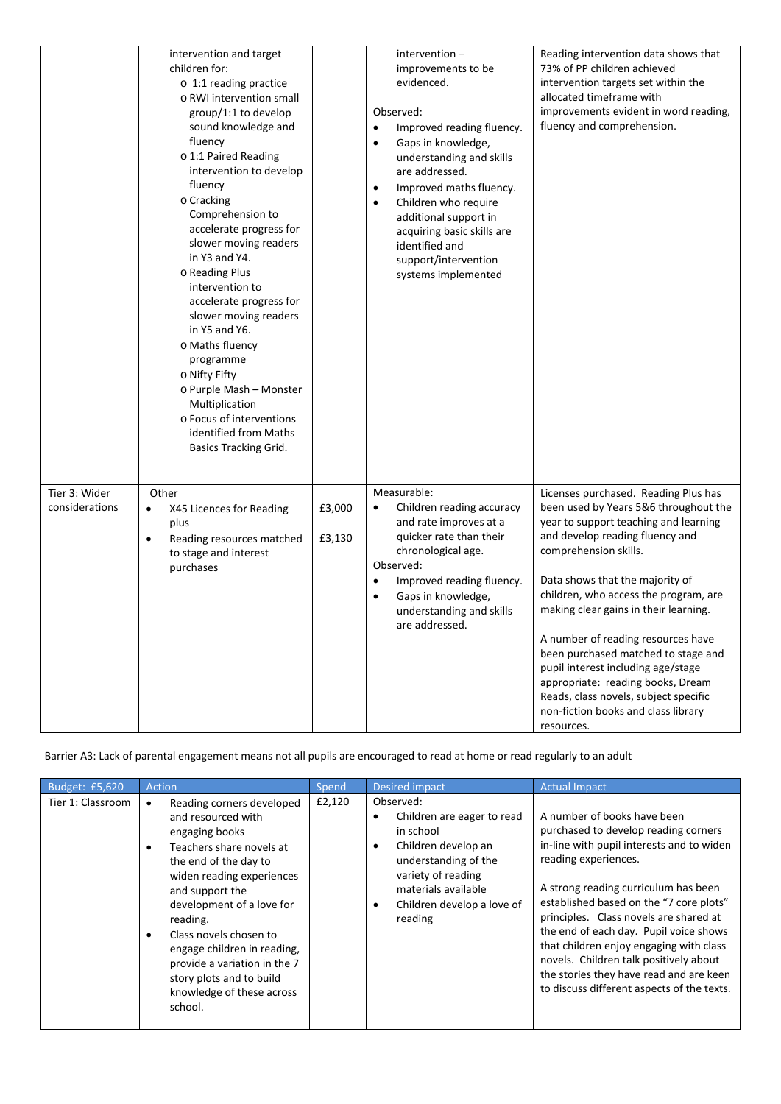|                                 | intervention and target<br>children for:<br>$\circ$ 1:1 reading practice<br>o RWI intervention small<br>group/1:1 to develop<br>sound knowledge and<br>fluency<br>o 1:1 Paired Reading<br>intervention to develop<br>fluency<br>o Cracking<br>Comprehension to<br>accelerate progress for<br>slower moving readers<br>in Y3 and Y4.<br>o Reading Plus<br>intervention to<br>accelerate progress for<br>slower moving readers<br>in Y5 and Y6.<br>o Maths fluency<br>programme<br>o Nifty Fifty<br>o Purple Mash - Monster<br>Multiplication<br>o Focus of interventions<br>identified from Maths<br><b>Basics Tracking Grid.</b> |                  | intervention-<br>improvements to be<br>evidenced.<br>Observed:<br>Improved reading fluency.<br>$\bullet$<br>Gaps in knowledge,<br>$\bullet$<br>understanding and skills<br>are addressed.<br>Improved maths fluency.<br>$\bullet$<br>Children who require<br>$\bullet$<br>additional support in<br>acquiring basic skills are<br>identified and<br>support/intervention<br>systems implemented | Reading intervention data shows that<br>73% of PP children achieved<br>intervention targets set within the<br>allocated timeframe with<br>improvements evident in word reading,<br>fluency and comprehension.                                                                                                                                                                                                                                                                                                                                                 |
|---------------------------------|----------------------------------------------------------------------------------------------------------------------------------------------------------------------------------------------------------------------------------------------------------------------------------------------------------------------------------------------------------------------------------------------------------------------------------------------------------------------------------------------------------------------------------------------------------------------------------------------------------------------------------|------------------|------------------------------------------------------------------------------------------------------------------------------------------------------------------------------------------------------------------------------------------------------------------------------------------------------------------------------------------------------------------------------------------------|---------------------------------------------------------------------------------------------------------------------------------------------------------------------------------------------------------------------------------------------------------------------------------------------------------------------------------------------------------------------------------------------------------------------------------------------------------------------------------------------------------------------------------------------------------------|
| Tier 3: Wider<br>considerations | Other<br>X45 Licences for Reading<br>$\bullet$<br>plus<br>Reading resources matched<br>$\bullet$<br>to stage and interest<br>purchases                                                                                                                                                                                                                                                                                                                                                                                                                                                                                           | £3,000<br>£3,130 | Measurable:<br>Children reading accuracy<br>$\bullet$<br>and rate improves at a<br>quicker rate than their<br>chronological age.<br>Observed:<br>Improved reading fluency.<br>$\bullet$<br>Gaps in knowledge,<br>$\bullet$<br>understanding and skills<br>are addressed.                                                                                                                       | Licenses purchased. Reading Plus has<br>been used by Years 5&6 throughout the<br>year to support teaching and learning<br>and develop reading fluency and<br>comprehension skills.<br>Data shows that the majority of<br>children, who access the program, are<br>making clear gains in their learning.<br>A number of reading resources have<br>been purchased matched to stage and<br>pupil interest including age/stage<br>appropriate: reading books, Dream<br>Reads, class novels, subject specific<br>non-fiction books and class library<br>resources. |

Barrier A3: Lack of parental engagement means not all pupils are encouraged to read at home or read regularly to an adult

| Budget: £5,620    | Action                                                                                                                                                                                                                                                                                                                                                                       | Spend  | <b>Desired impact</b>                                                                                                                                                                               | <b>Actual Impact</b>                                                                                                                                                                                                                                                                                                                                                                                                                                                                          |
|-------------------|------------------------------------------------------------------------------------------------------------------------------------------------------------------------------------------------------------------------------------------------------------------------------------------------------------------------------------------------------------------------------|--------|-----------------------------------------------------------------------------------------------------------------------------------------------------------------------------------------------------|-----------------------------------------------------------------------------------------------------------------------------------------------------------------------------------------------------------------------------------------------------------------------------------------------------------------------------------------------------------------------------------------------------------------------------------------------------------------------------------------------|
| Tier 1: Classroom | Reading corners developed<br>and resourced with<br>engaging books<br>Teachers share novels at<br>the end of the day to<br>widen reading experiences<br>and support the<br>development of a love for<br>reading.<br>Class novels chosen to<br>engage children in reading,<br>provide a variation in the 7<br>story plots and to build<br>knowledge of these across<br>school. | £2,120 | Observed:<br>Children are eager to read<br>in school<br>Children develop an<br>٠<br>understanding of the<br>variety of reading<br>materials available<br>Children develop a love of<br>٠<br>reading | A number of books have been<br>purchased to develop reading corners<br>in-line with pupil interests and to widen<br>reading experiences.<br>A strong reading curriculum has been<br>established based on the "7 core plots"<br>principles. Class novels are shared at<br>the end of each day. Pupil voice shows<br>that children enjoy engaging with class<br>novels. Children talk positively about<br>the stories they have read and are keen<br>to discuss different aspects of the texts. |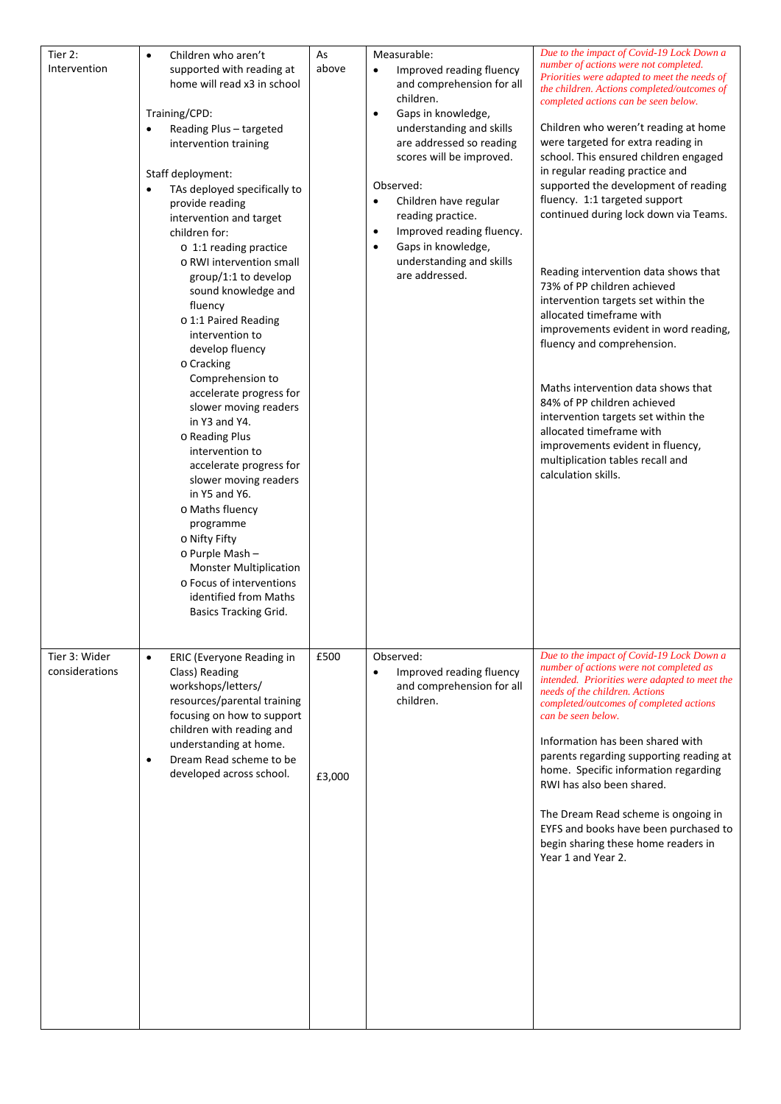| $\bullet$                                                                                                                                                                                                                                                                                                                                                                                 | As                  | Measurable:                                                                                                                                                                                                                                                                                                                                                                                               | Due to the impact of Covid-19 Lock Down a                                                                                                                                                                                                                                                                                                                                                                                                                                                                                                 |
|-------------------------------------------------------------------------------------------------------------------------------------------------------------------------------------------------------------------------------------------------------------------------------------------------------------------------------------------------------------------------------------------|---------------------|-----------------------------------------------------------------------------------------------------------------------------------------------------------------------------------------------------------------------------------------------------------------------------------------------------------------------------------------------------------------------------------------------------------|-------------------------------------------------------------------------------------------------------------------------------------------------------------------------------------------------------------------------------------------------------------------------------------------------------------------------------------------------------------------------------------------------------------------------------------------------------------------------------------------------------------------------------------------|
| Children who aren't<br>supported with reading at<br>home will read x3 in school<br>Training/CPD:<br>Reading Plus - targeted<br>$\bullet$<br>intervention training<br>Staff deployment:<br>TAs deployed specifically to<br>$\bullet$<br>provide reading<br>intervention and target<br>children for:<br>$\circ$ 1:1 reading practice<br>o RWI intervention small<br>group/1:1 to develop    | above               | Improved reading fluency<br>$\bullet$<br>and comprehension for all<br>children.<br>Gaps in knowledge,<br>$\bullet$<br>understanding and skills<br>are addressed so reading<br>scores will be improved.<br>Observed:<br>Children have regular<br>$\bullet$<br>reading practice.<br>Improved reading fluency.<br>$\bullet$<br>Gaps in knowledge,<br>$\bullet$<br>understanding and skills<br>are addressed. | number of actions were not completed.<br>Priorities were adapted to meet the needs of<br>the children. Actions completed/outcomes of<br>completed actions can be seen below.<br>Children who weren't reading at home<br>were targeted for extra reading in<br>school. This ensured children engaged<br>in regular reading practice and<br>supported the development of reading<br>fluency. 1:1 targeted support<br>continued during lock down via Teams.<br>Reading intervention data shows that<br>73% of PP children achieved           |
| fluency<br>o 1:1 Paired Reading<br>intervention to<br>develop fluency<br>o Cracking                                                                                                                                                                                                                                                                                                       |                     |                                                                                                                                                                                                                                                                                                                                                                                                           | intervention targets set within the<br>allocated timeframe with<br>improvements evident in word reading,<br>fluency and comprehension.                                                                                                                                                                                                                                                                                                                                                                                                    |
| Comprehension to<br>accelerate progress for<br>slower moving readers<br>in Y3 and Y4.<br>o Reading Plus<br>intervention to<br>accelerate progress for<br>slower moving readers<br>in Y5 and Y6.<br>o Maths fluency<br>programme<br>o Nifty Fifty<br>o Purple Mash -<br><b>Monster Multiplication</b><br>o Focus of interventions<br>identified from Maths<br><b>Basics Tracking Grid.</b> |                     |                                                                                                                                                                                                                                                                                                                                                                                                           | Maths intervention data shows that<br>84% of PP children achieved<br>intervention targets set within the<br>allocated timeframe with<br>improvements evident in fluency,<br>multiplication tables recall and<br>calculation skills.                                                                                                                                                                                                                                                                                                       |
| ERIC (Everyone Reading in<br>$\bullet$<br>Class) Reading<br>workshops/letters/<br>resources/parental training<br>focusing on how to support<br>children with reading and<br>understanding at home.<br>Dream Read scheme to be<br>$\bullet$<br>developed across school.                                                                                                                    | £500<br>£3,000      | Observed:<br>Improved reading fluency<br>$\bullet$<br>and comprehension for all<br>children.                                                                                                                                                                                                                                                                                                              | Due to the impact of Covid-19 Lock Down a<br>number of actions were not completed as<br>intended. Priorities were adapted to meet the<br>needs of the children. Actions<br>completed/outcomes of completed actions<br>can be seen below.<br>Information has been shared with<br>parents regarding supporting reading at<br>home. Specific information regarding<br>RWI has also been shared.<br>The Dream Read scheme is ongoing in<br>EYFS and books have been purchased to<br>begin sharing these home readers in<br>Year 1 and Year 2. |
|                                                                                                                                                                                                                                                                                                                                                                                           | sound knowledge and |                                                                                                                                                                                                                                                                                                                                                                                                           |                                                                                                                                                                                                                                                                                                                                                                                                                                                                                                                                           |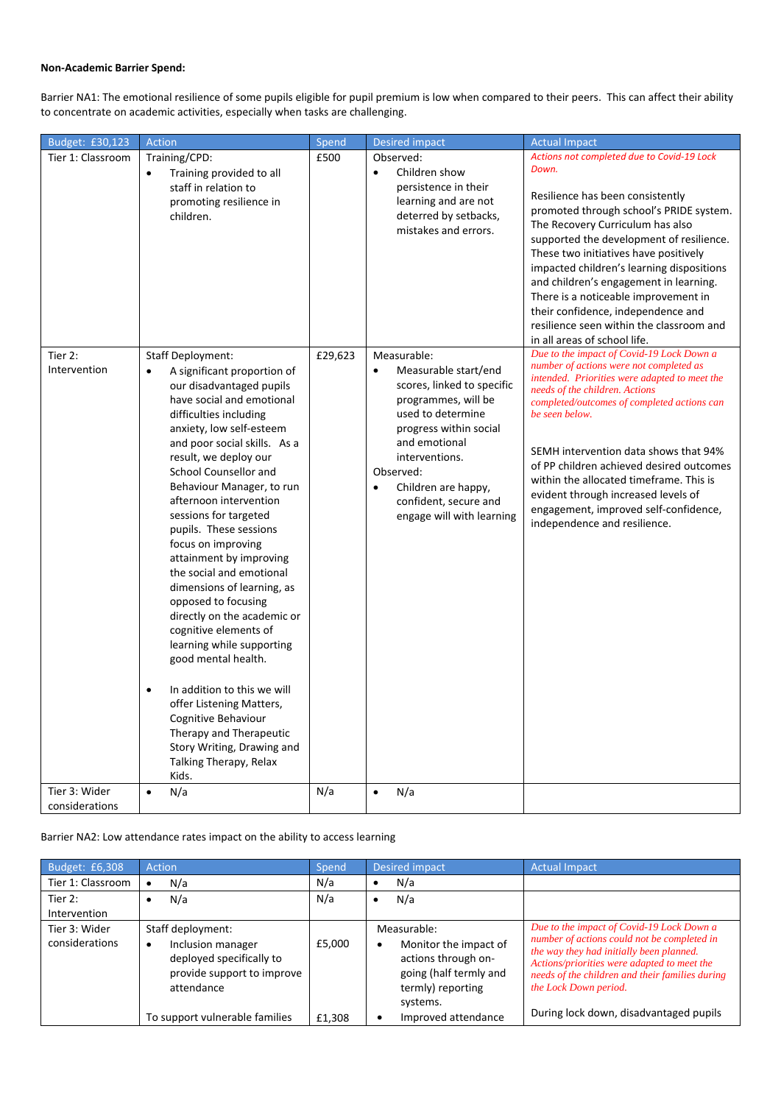## **Non-Academic Barrier Spend:**

Barrier NA1: The emotional resilience of some pupils eligible for pupil premium is low when compared to their peers. This can affect their ability to concentrate on academic activities, especially when tasks are challenging.

| Budget: £30,123   | Action                                              | Spend   | <b>Desired impact</b>                                     | <b>Actual Impact</b>                                                            |
|-------------------|-----------------------------------------------------|---------|-----------------------------------------------------------|---------------------------------------------------------------------------------|
| Tier 1: Classroom | Training/CPD:                                       | £500    | Observed:                                                 | Actions not completed due to Covid-19 Lock                                      |
|                   | Training provided to all<br>$\bullet$               |         | Children show<br>$\bullet$                                | Down.                                                                           |
|                   | staff in relation to                                |         | persistence in their                                      | Resilience has been consistently                                                |
|                   | promoting resilience in                             |         | learning and are not                                      | promoted through school's PRIDE system.                                         |
|                   | children.                                           |         | deterred by setbacks,<br>mistakes and errors.             | The Recovery Curriculum has also                                                |
|                   |                                                     |         |                                                           | supported the development of resilience.                                        |
|                   |                                                     |         |                                                           | These two initiatives have positively                                           |
|                   |                                                     |         |                                                           | impacted children's learning dispositions                                       |
|                   |                                                     |         |                                                           | and children's engagement in learning.                                          |
|                   |                                                     |         |                                                           | There is a noticeable improvement in                                            |
|                   |                                                     |         |                                                           | their confidence, independence and<br>resilience seen within the classroom and  |
|                   |                                                     |         |                                                           | in all areas of school life.                                                    |
| Tier 2:           | <b>Staff Deployment:</b>                            | £29,623 | Measurable:                                               | Due to the impact of Covid-19 Lock Down a                                       |
| Intervention      | A significant proportion of<br>$\bullet$            |         | Measurable start/end<br>$\bullet$                         | number of actions were not completed as                                         |
|                   | our disadvantaged pupils                            |         | scores, linked to specific                                | intended. Priorities were adapted to meet the<br>needs of the children. Actions |
|                   | have social and emotional                           |         | programmes, will be                                       | completed/outcomes of completed actions can                                     |
|                   | difficulties including                              |         | used to determine                                         | be seen below.                                                                  |
|                   | anxiety, low self-esteem                            |         | progress within social                                    |                                                                                 |
|                   | and poor social skills. As a                        |         | and emotional                                             | SEMH intervention data shows that 94%                                           |
|                   | result, we deploy our                               |         | interventions.                                            | of PP children achieved desired outcomes                                        |
|                   | School Counsellor and                               |         | Observed:                                                 | within the allocated timeframe. This is                                         |
|                   | Behaviour Manager, to run<br>afternoon intervention |         | Children are happy,<br>$\bullet$<br>confident, secure and | evident through increased levels of                                             |
|                   | sessions for targeted                               |         | engage will with learning                                 | engagement, improved self-confidence,                                           |
|                   | pupils. These sessions                              |         |                                                           | independence and resilience.                                                    |
|                   | focus on improving                                  |         |                                                           |                                                                                 |
|                   | attainment by improving                             |         |                                                           |                                                                                 |
|                   | the social and emotional                            |         |                                                           |                                                                                 |
|                   | dimensions of learning, as                          |         |                                                           |                                                                                 |
|                   | opposed to focusing                                 |         |                                                           |                                                                                 |
|                   | directly on the academic or                         |         |                                                           |                                                                                 |
|                   | cognitive elements of                               |         |                                                           |                                                                                 |
|                   | learning while supporting<br>good mental health.    |         |                                                           |                                                                                 |
|                   |                                                     |         |                                                           |                                                                                 |
|                   | In addition to this we will<br>$\bullet$            |         |                                                           |                                                                                 |
|                   | offer Listening Matters,                            |         |                                                           |                                                                                 |
|                   | Cognitive Behaviour                                 |         |                                                           |                                                                                 |
|                   | Therapy and Therapeutic                             |         |                                                           |                                                                                 |
|                   | Story Writing, Drawing and                          |         |                                                           |                                                                                 |
|                   | Talking Therapy, Relax                              |         |                                                           |                                                                                 |
|                   | Kids.                                               |         |                                                           |                                                                                 |
| Tier 3: Wider     | N/a<br>$\bullet$                                    | N/a     | N/a<br>$\bullet$                                          |                                                                                 |
| considerations    |                                                     |         |                                                           |                                                                                 |

Barrier NA2: Low attendance rates impact on the ability to access learning

| Budget: £6,308                  | Action                                                                                                         | Spend  | <b>Desired impact</b>                                                                                                       | <b>Actual Impact</b>                                                                                                                                                                                                                                            |
|---------------------------------|----------------------------------------------------------------------------------------------------------------|--------|-----------------------------------------------------------------------------------------------------------------------------|-----------------------------------------------------------------------------------------------------------------------------------------------------------------------------------------------------------------------------------------------------------------|
| Tier 1: Classroom               | N/a                                                                                                            | N/a    | N/a                                                                                                                         |                                                                                                                                                                                                                                                                 |
| Tier 2:<br>Intervention         | N/a                                                                                                            | N/a    | N/a                                                                                                                         |                                                                                                                                                                                                                                                                 |
| Tier 3: Wider<br>considerations | Staff deployment:<br>Inclusion manager<br>deployed specifically to<br>provide support to improve<br>attendance | £5,000 | Measurable:<br>Monitor the impact of<br>٠<br>actions through on-<br>going (half termly and<br>termly) reporting<br>systems. | Due to the impact of Covid-19 Lock Down a<br>number of actions could not be completed in<br>the way they had initially been planned.<br>Actions/priorities were adapted to meet the<br>needs of the children and their families during<br>the Lock Down period. |
|                                 | To support vulnerable families                                                                                 | £1.308 | Improved attendance                                                                                                         | During lock down, disadvantaged pupils                                                                                                                                                                                                                          |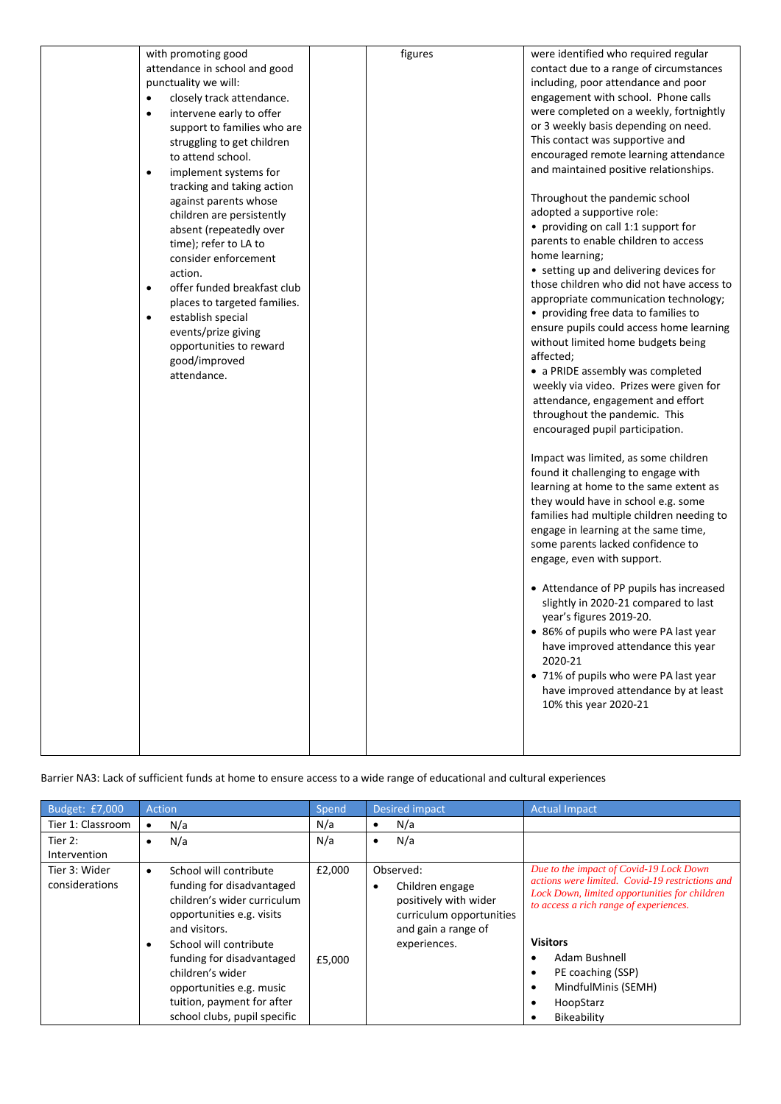| with promoting good<br>attendance in school and good<br>punctuality we will:<br>closely track attendance.<br>$\bullet$<br>intervene early to offer<br>$\bullet$<br>support to families who are<br>struggling to get children<br>to attend school.<br>implement systems for<br>$\bullet$<br>tracking and taking action<br>against parents whose<br>children are persistently<br>absent (repeatedly over<br>time); refer to LA to<br>consider enforcement<br>action.<br>offer funded breakfast club<br>$\bullet$<br>places to targeted families.<br>establish special<br>$\bullet$<br>events/prize giving<br>opportunities to reward<br>good/improved<br>attendance. | figures | were identified who required regular<br>contact due to a range of circumstances<br>including, poor attendance and poor<br>engagement with school. Phone calls<br>were completed on a weekly, fortnightly<br>or 3 weekly basis depending on need.<br>This contact was supportive and<br>encouraged remote learning attendance<br>and maintained positive relationships.<br>Throughout the pandemic school<br>adopted a supportive role:<br>• providing on call 1:1 support for<br>parents to enable children to access<br>home learning;<br>• setting up and delivering devices for<br>those children who did not have access to<br>appropriate communication technology;<br>• providing free data to families to<br>ensure pupils could access home learning<br>without limited home budgets being<br>affected;<br>• a PRIDE assembly was completed<br>weekly via video. Prizes were given for<br>attendance, engagement and effort<br>throughout the pandemic. This<br>encouraged pupil participation.<br>Impact was limited, as some children<br>found it challenging to engage with<br>learning at home to the same extent as<br>they would have in school e.g. some<br>families had multiple children needing to<br>engage in learning at the same time,<br>some parents lacked confidence to<br>engage, even with support.<br>• Attendance of PP pupils has increased<br>slightly in 2020-21 compared to last<br>year's figures 2019-20.<br>• 86% of pupils who were PA last year<br>have improved attendance this year<br>2020-21<br>• 71% of pupils who were PA last year<br>have improved attendance by at least<br>10% this year 2020-21 |
|--------------------------------------------------------------------------------------------------------------------------------------------------------------------------------------------------------------------------------------------------------------------------------------------------------------------------------------------------------------------------------------------------------------------------------------------------------------------------------------------------------------------------------------------------------------------------------------------------------------------------------------------------------------------|---------|---------------------------------------------------------------------------------------------------------------------------------------------------------------------------------------------------------------------------------------------------------------------------------------------------------------------------------------------------------------------------------------------------------------------------------------------------------------------------------------------------------------------------------------------------------------------------------------------------------------------------------------------------------------------------------------------------------------------------------------------------------------------------------------------------------------------------------------------------------------------------------------------------------------------------------------------------------------------------------------------------------------------------------------------------------------------------------------------------------------------------------------------------------------------------------------------------------------------------------------------------------------------------------------------------------------------------------------------------------------------------------------------------------------------------------------------------------------------------------------------------------------------------------------------------------------------------------------------------------------------------------------------------|

Barrier NA3: Lack of sufficient funds at home to ensure access to a wide range of educational and cultural experiences

| Budget: £7,000                  | <b>Action</b>                                                                                                                                                                                                                                                                                                           | Spend            | <b>Desired impact</b>                                                                                                    | <b>Actual Impact</b>                                                                                                                                                                                                                                                                              |
|---------------------------------|-------------------------------------------------------------------------------------------------------------------------------------------------------------------------------------------------------------------------------------------------------------------------------------------------------------------------|------------------|--------------------------------------------------------------------------------------------------------------------------|---------------------------------------------------------------------------------------------------------------------------------------------------------------------------------------------------------------------------------------------------------------------------------------------------|
| Tier 1: Classroom               | N/a                                                                                                                                                                                                                                                                                                                     | N/a              | N/a                                                                                                                      |                                                                                                                                                                                                                                                                                                   |
| Tier 2:<br>Intervention         | N/a<br>$\bullet$                                                                                                                                                                                                                                                                                                        | N/a              | N/a<br>$\bullet$                                                                                                         |                                                                                                                                                                                                                                                                                                   |
| Tier 3: Wider<br>considerations | School will contribute<br>$\bullet$<br>funding for disadvantaged<br>children's wider curriculum<br>opportunities e.g. visits<br>and visitors.<br>School will contribute<br>٠<br>funding for disadvantaged<br>children's wider<br>opportunities e.g. music<br>tuition, payment for after<br>school clubs, pupil specific | £2,000<br>£5,000 | Observed:<br>Children engage<br>positively with wider<br>curriculum opportunities<br>and gain a range of<br>experiences. | Due to the impact of Covid-19 Lock Down<br>actions were limited. Covid-19 restrictions and<br>Lock Down, limited opportunities for children<br>to access a rich range of experiences.<br><b>Visitors</b><br>Adam Bushnell<br>PE coaching (SSP)<br>MindfulMinis (SEMH)<br>HoopStarz<br>Bikeability |